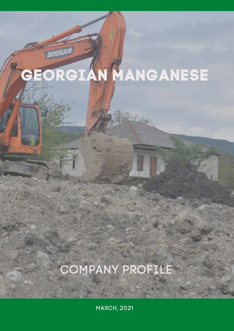# GEORGIAN MANGANESE

**DOOSAN** 

# COMPANY PROFILE

MARCH, 2021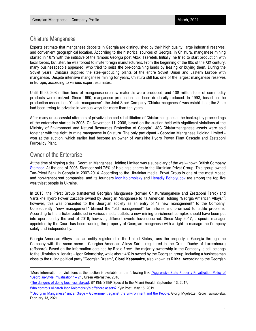# Chiatura Manganese

Experts estimate that manganese deposits in Georgia are distinguished by their high quality, large industrial reserves, and convenient geographical location. According to the historical sources of Georgia, in Chiatura, manganese mining started in 1879 with the initiative of the famous Georgia poet Akaki Tsereteli. Initially, he tried to start production with local forces, but later, he was forced to invite foreign manufacturers. From the beginning of the 80s of the XIX century, many businesspeople appeared, who tried to seize the ore-containing lands by leasing or buying them. During the Soviet years, Chiatura supplied the steel-producing plants of the entire Soviet Union and Eastern Europe with manganese. Despite intensive manganese mining for years, Chiatura still has one of the largest manganese reserves in Europe, according to various expert estimates.

Until 1990, 203 million tons of manganese-ore raw materials were produced, and 108 million tons of commodity products were realized. Since 1990, manganese production has been drastically reduced. In 1993, based on the production association "Chiaturmanganese", the Joint Stock Company "Chiaturmanganese" was established; the State had been trying to privatize in various ways for more than ten years.

After many unsuccessful attempts of privatization and rehabilitation of Chiaturmanganese, the bankruptcy proceedings of the enterprise started in 2005. On November 11, 2006, based on the auction held with significant violations at the Ministry of Environment and Natural Resources Protection of Georgia<sup>[1](#page-1-0)</sup>, JSC Chiaturmanganese assets were sold together with the right to mine manganese in Chiatura. The only participant - Georgian Manganese Holding Limited won at the auction, which earlier had become an owner of Vartsikhe Hydro Power Plant Cascade and Zestaponi Ferroalloy Plant.

# Owner of the Enterprise

At the time of signing a deal, Georgian Manganese Holding Limited was a subsidiary of the well-known British Company [Stemcor.](https://www.stemcor.com/) At the end of 2006, Stemcor sold 75% of Holding's shares to the Ukrainian Privat Group. This group owned Tao-Privat Bank in Georgia in 2007-2014. According to the Ukrainian media, Privat Group is one of the most closed and non-transparent companies, and its founders lgor Kolomoisky and [Henadiy](https://www.forbes.com/profile/henadiy-boholyubov/#38809d326e00) Boholyubov are among the top five wealthiest people in Ukraine.

In 2013, the Privat Group transferred Georgian Manganese (former Chiaturmanganese and Zestaponi Ferro) and Vartsikhe Hydro Power Cascade owned by Georgian Manganese to its American Holding "Georgia American Alloys"<sup>[2](#page-1-1)</sup>; however, this was presented to the Georgian society as an entry of "a new management" to the Company. Consequently, "new management" blamed the "old management" for failures and promised to tackle problems. According to the articles published in various media outlets, a new mining-enrichment complex should have been put into operation by the end of 2016; however, different events have occurred. Since May 2017, a special manager appointed by the Court has been running the property of Georgian manganese with a right to manage the Company solely and independently.

Georgia American Alloys Inc., an entity registered in the United States, runs the property in Georgia through the Company with the same name - Georgian American Alloys Sàrl - registered in the Grand Duchy of Luxembourg (offshore). Based on the information obtained by Radio Free<sup>[3](#page-1-2)</sup>, the majority ownership in the Company is still belongs to the Ukrainian billionaire – Igor Kolomoisky, while about 4 % is owned by the Georgian group, including a businessman close to the ruling political party "Georgian Dream", **Giorgi Kapanadze**, also known as **Rizha.** According to the Georgian

<span id="page-1-0"></span><sup>&</sup>lt;sup>1</sup>More information on violations at the auction is available on the following link: "Aggressive State Property Privatization Policy of "Georgian-Style Privatization"  $-2$ ", Green Alternative, 2010

<span id="page-1-1"></span><sup>&</sup>lt;sup>2</sup>[The dangers of doing business abroad,](https://www.miamiherald.com/news/business/biz-monday/article172421852.html) BY KEN STIER Special to the Miami Herald, September 13, 2017;

[Who controls oligarch Ihor Kolomoisky's offshore assets?](https://www.kyivpost.com/ukraine-politics/who-controls-oligarch-ihor-kolomoiskys-offshore-assets.html?cn-reloaded=1) Kyiv Post, May 16, 2019

<span id="page-1-2"></span><sup>&</sup>lt;sup>3"</sup>Georgian Manganese" under Siege – Government against the Environment and the People, Giorgi Mgeladze, Radio Tavisupleba, February 13, 2021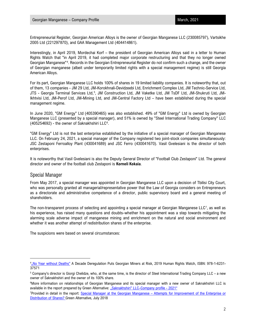Entrepreneurial Register, Georgian American Alloys is the owner of Georgian Manganese LLC (230085797), Vartsikhe 2005 Ltd (221297870), and GAA Management Ltd (404414861).

Interestingly, in April 2019, Mordechai Korf – the president of Georgian American Alloys said in a letter to Human Rights Watch that "in April 2019, it had completed major corporate restructuring and that they no longer owned Georgian Manganese"[4](#page-2-0) . Records in the Georgian Entrepreneurial Register do not confirm such a change, and the owner of Georgian manganese (albeit under temporarily limited rights with a special management regime) is still Georgia American Alloys.

For its part, Georgian Manganese LLC holds 100% of shares in 19 limited liability companies. It is noteworthy that, out of them, 13 companies - JM 29 Ltd, JM-Korokhnali-Devidzeebi Ltd, Enrichment Complex Ltd, JM Technic-Service Ltd, JTS - Georgia Terminal Services Ltd,<sup>[5](#page-2-1)</sup>, JM Construction Ltd, JM Vaketke Ltd, JM TsDF Ltd, JM-Shukruti Ltd, JM-Ikhtvisi Ltd, JM-Perof Ltd, JM-Mining Ltd, and JM-Central Factory Ltd – have been established during the special management regime.

In June 2020, "GM Energy" Ltd (405390465) was also established. 49% of "GM Energy" Ltd is owned by Georgian Manganese LLC (presented by a special manager), and 51% is owned by "Steel International Trading Company" LLC (405254[6](#page-2-2)92) - the owner of Saknakhshiri LLC<sup>6</sup>.

"GM Energy" Ltd is not the last enterprise established by the initiative of a special manager of Georgian Manganese LLC. On February 24, 2021, a special manager of the Company registered two joint-stock companies simultaneously: JSC Zestaponi Ferroalloy Plant (430041689) and JSC Ferro (430041670). Vasil Gvelesiani is the director of both enterprises.

It is noteworthy that Vasil Gvelesiani is also the Deputy General Director of "Football Club Zestaponi" Ltd. The general director and owner of the football club Zestaponi is **Korneli Kokaia**.

#### Special Manager

From May 2017, a special manager was appointed in Georgian Manganese LLC upon a decision of Tbilisi City Court, who was personally granted all managerial/representative power that the Law of Georgia considers on Entrepreneurs as a directorate and administrative competence of a director, public supervisory board and a general meeting of shareholders.

The non-transparent process of selecting and appointing a special manager at Georgian Manganese LLC<sup>[7](#page-2-3)</sup>, as well as his experience, has raised many questions and doubts–whether his appointment was a step towards mitigating the alarming scale adverse impact of manganese mining and enrichment on the natural and social environment and whether it was another attempt of redistribution shares of the enterprise.

The suspicions were based on several circumstances:

<span id="page-2-0"></span><sup>&</sup>lt;sup>4</sup> No Year without Deaths" A Decade Deregulation Puts Georgian Miners at Risk, 2019 Human Rights Watch, ISBN: 978-1-6231-37571

<span id="page-2-1"></span> $5$  Company's director is Giorgi Chelidze, who, at the same time, is the director of Steel International Trading Company LLC – a new owner of Saknakhshiri and the owner of its 100% share.

<span id="page-2-2"></span><sup>6</sup> More information on relationships of Georgian Manganese and its special manager with a new owner of Saknakhshiri LLC is available in the report prepared by Green Alternative[: "Saknakhshiri" LLC–Company profile - 2021"](http://greenalt.org/wp-content/uploads/2021/04/saknakhshiri_Eng_2021.pdf)

<span id="page-2-3"></span><sup>7</sup> Provided in detail in the report: [Special Manager at the Georgian Manganese – Attempts for Improvement of the Enterprise or](http://greenalt.org/wp-content/uploads/2018/06/Chiatura_case_ENG_June-2018.pdf)  [Distribution of Shares?](http://greenalt.org/wp-content/uploads/2018/06/Chiatura_case_ENG_June-2018.pdf) Green Alternative, July 2018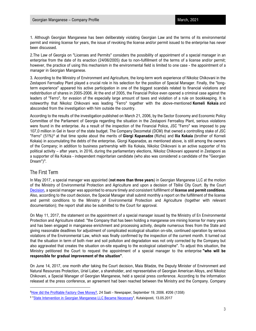1. Although Georgian Manganese has been deliberately violating Georgian Law and the terms of its environmental permit and mining license for years, the issue of revoking the license and/or permit issued to the enterprise has never been discussed.

2.The Law of Georgia on "Licenses and Permits" considers the possibility of appointment of a special manager in an enterprise from the date of its enaction (24/06/2005) due to non-fulfillment of the terms of a license and/or permit; however, the practice of using this mechanism in the environmental field is limited to one case - the appointment of a manager in Georgian Manganese.

3. According to the Ministry of Environment and Agriculture, the long-term work experience of Nikoloz Chikovani in the Zestaponi Ferroalloy Plant played a crucial role in his selection for the position of Special Manager. Finally, the "longterm experience" appeared his active participation in one of the biggest scandals related to financial violations and redistribution of shares in 2005-2006. At the end of 2005, the Financial Police even opened a criminal case against the leaders of "Ferro", for evasion of the especially large amount of taxes and violation of a rule on bookkeeping. It is noteworthy that Nikoloz Chikovani was leading "Ferro" together with the above-mentioned **Korneli Kokaia** and absconded from the investigation with him outside the country.

According to the results of the investigation published on March 21, 2006, by the Sector Economy and Economic Policy Committee of the Parliament of Georgia regarding the situation in the Zestaponi Ferroalloy Plant, serious violations were found in the enterprise. As a result of the inspection of the Financial Police, JSC "Ferro" was imposed to pay 107,0 million in Gel in favor of the state budget. The Company Decometal (DCM) that owned a controlling stake of JSC "Ferro" (51%)[8](#page-3-0) at that time spoke about the merits of **Giorgi Kapanadze** (Rizha) and **Ilia Kokaia** (brother of Korneli Kokaia) in accumulating the debts of the enterprise**.** Giorgi Kapanadze, as mentioned above, is still among the owners of the Company; in addition to business partnership with Ilia Kokaia, Nikoloz Chikovani is an active supporter of his political activity – after years, in 2016, during the parliamentary elections, Nikoloz Chikovani appeared in Zestaponi as a supporter of Ilia Kokaia - independent majoritarian candidate (who also was considered a candidate of the "Georgian Dream") $9$ .

#### The First Term

In May 2017, a special manager was appointed (**not more than three years**) in Georgian Manganese LLC at the motion of the Ministry of Environmental Protection and Agriculture and upon a decision of Tbilisi City Court. By the Court [Decision,](http://bs.napr.gov.ge/GetBlob?pid=400&bid=Qdemt4YoIpLQYpryd3AbDynwQ73D94iWaS1TyZhrHXR2NMTuABj4YJYIKHYJNHeq) a special manager was appointed to ensure timely and consistent fulfillment of **license and permit conditions**. Also, according to the court decision, the Special Manager shall submit monthly a report on the fulfillment of the license and permit conditions to the Ministry of Environmental Protection and Agriculture (together with relevant documentation); the report shall also be submitted to the Court for approval.

On May 11, 2017, the statement on the appointment of a special manager issued by the Ministry of En Environmental Protection and Agriculture stated: "the Company that has been holding a manganese ore mining license for many years and has been engaged in manganese enrichment and processing activity, despite numerous fines from the State and giving reasonable deadlines for adjustment of complicated ecological situation on-site, continued operation by serious violations of the Environmental Law, which was finally confirmed by the inspection of the current month. It turned out that the situation in term of both river and soil pollution and degradation was not only corrected by the Company but also aggravated that creates the situation on-site equaling to the ecological catastrophe". To adjust this situation, the Ministry petitioned the Court to request the appointment of a special manager to the enterprise **"who will be responsible for gradual improvement of the situation"**.

On June 14, 2017, one month after taking the Court decision, Maia Bitadze, the Deputy Minister of Environment and Natural Resources Protection, Uriel Laber, a shareholder, and representative of Georgian American Alloys, and Nikoloz Chikovani, a Special Manager of Georgian Manganese, held a special press conference. According to the information released at the press conference, an agreement had been reached between the Ministry and the Company. Company

<span id="page-3-0"></span><sup>&</sup>lt;sup>8</sup> [How did the Profitable Factory Owe Money?,](http://dspace.nplg.gov.ge/bitstream/1234/41418/1/24Saati_2006_N206%281358%29.pdf) 24 Saati - Newspaper, September 19, 2006. #206 (1358)

<span id="page-3-1"></span><sup>&</sup>lt;sup>9</sup> "<u>State Intervention in Georgian Manganese LLC Became Necessary</u>", Kutaisiposti, 13.05.2017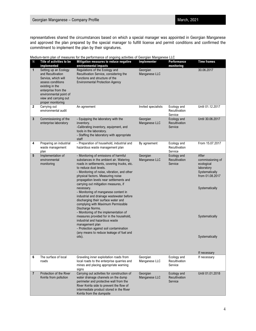#### Georgian Manganese – Company Profile March, 2021 March, 2021

representatives shared the circumstances based on which a special manager was appointed in Georgian Manganese and approved the plan prepared by the special manager to fulfill license and permit conditions and confirmed the commitment to implement the plan by their signatures.

|  |  |  |  | Medium-term plan of measures for the performance of ongoing activities of Georgian Manganese LLC |
|--|--|--|--|--------------------------------------------------------------------------------------------------|
|  |  |  |  |                                                                                                  |
|  |  |  |  |                                                                                                  |

| N              | Title of activities to be<br>implemented                                                                                                                                                                 | modium torm plan or modeled for the portormance or originity activities or occupant manganese EEO<br>Mitigation measures to reduce negative<br>environmental impacts                                                                                                                                                                                                                                                                                                                                                                                                                                                                                                                                                                                                          | Implementer               | Performance<br>monitoring               | <b>Time frames</b>                                                                                                                               |
|----------------|----------------------------------------------------------------------------------------------------------------------------------------------------------------------------------------------------------|-------------------------------------------------------------------------------------------------------------------------------------------------------------------------------------------------------------------------------------------------------------------------------------------------------------------------------------------------------------------------------------------------------------------------------------------------------------------------------------------------------------------------------------------------------------------------------------------------------------------------------------------------------------------------------------------------------------------------------------------------------------------------------|---------------------------|-----------------------------------------|--------------------------------------------------------------------------------------------------------------------------------------------------|
| $\mathbf{1}$   | Setting up an Ecology<br>and Recultivation<br>Service, which will<br>assess conditions<br>existing in the<br>enterprise from the<br>environmental point of<br>view and carrying out<br>proper monitoring | Regulations of the Ecology and<br>Recultivation Service, considering the<br>functions and structure of the<br><b>Environmental Protection Agency</b>                                                                                                                                                                                                                                                                                                                                                                                                                                                                                                                                                                                                                          | Georgian<br>Manganese LLC |                                         | 30.06.2017                                                                                                                                       |
| 2              | Carrying out<br>environmental audit                                                                                                                                                                      | An agreement                                                                                                                                                                                                                                                                                                                                                                                                                                                                                                                                                                                                                                                                                                                                                                  | Invited specialists       | Ecology and<br>Recultivation<br>Service | Until 01.12.2017                                                                                                                                 |
| 3              | Commissioning of the<br>enterprise laboratory                                                                                                                                                            | - Equipping the laboratory with the<br>inventory.<br>-Calibrating inventory, equipment, and<br>tools in the laboratory.<br>- Staffing the laboratory with appropriate<br>staff                                                                                                                                                                                                                                                                                                                                                                                                                                                                                                                                                                                                | Georgian<br>Manganese LLC | Ecology and<br>Recultivation<br>Service | Until 30.06.2017                                                                                                                                 |
| 4              | Preparing an industrial<br>waste management<br>plan                                                                                                                                                      | - Preparation of household, industrial and<br>hazardous waste management plan                                                                                                                                                                                                                                                                                                                                                                                                                                                                                                                                                                                                                                                                                                 | By agreement              | Ecology and<br>Recultivation<br>Service | From 15.07.2017                                                                                                                                  |
| 5              | Implementation of<br>environmental<br>monitoring                                                                                                                                                         | - Monitoring of emissions of harmful<br>substances in the ambient air. Watering<br>roads in settlements, covering trucks, etc.<br>to reduce dust levels.<br>- Monitoring of noise, vibration, and other<br>physical factors. Measuring noise<br>propagation levels near settlements and<br>carrying out mitigation measures, if<br>necessary.<br>- Monitoring of manganese content in<br>industrial and drainage wastewater before<br>discharging their surface water and<br>complying with Maximum Permissible<br>Discharge Norms.<br>- Monitoring of the implementation of<br>measures provided for in the household,<br>industrial and hazardous waste<br>management plan<br>- Protection against soil contamination<br>(any means to reduce leakage of fuel and<br>oils). | Georgian<br>Manganese LLC | Ecology and<br>Recultivation<br>Service | After<br>commissioning of<br>ecological<br>laboratory<br>Systematically<br>from 01.08.2017<br>Systematically<br>Systematically<br>Systematically |
| 6              | The surface of local                                                                                                                                                                                     | Graveling inner exploitation roads from                                                                                                                                                                                                                                                                                                                                                                                                                                                                                                                                                                                                                                                                                                                                       | Georgian                  | Ecology and                             | If necessary<br>If necessary                                                                                                                     |
|                | roads                                                                                                                                                                                                    | local roads to the enterprise quarries and<br>mines and placing appropriate warning<br>signs                                                                                                                                                                                                                                                                                                                                                                                                                                                                                                                                                                                                                                                                                  | Manganese LLC             | Recultivation<br>Service                |                                                                                                                                                  |
| $\overline{7}$ | Protection of the River<br>Kvirila from pollution                                                                                                                                                        | Carrying out activities for construction of<br>water drainage channels on the dump<br>perimeter and protective wall from the<br>River Kvirila side to prevent the flow of<br>intermediate product stored in the River<br>Kvirila from the dumpsite                                                                                                                                                                                                                                                                                                                                                                                                                                                                                                                            | Georgian<br>Manganese LLC | Ecology and<br>Recultivation<br>Service | Until 01.01.2018                                                                                                                                 |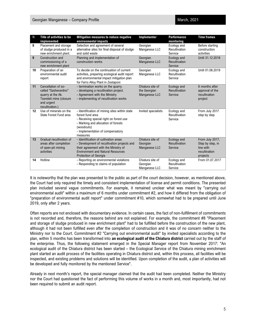| N  | Title of activities to be<br>implemented                                                                                     | Mitigation measures to reduce negative<br>environmental impacts                                                                                                                                                   | Implementer                                       | <b>Performance</b><br>monitoring        | <b>Time frames</b>                                                            |
|----|------------------------------------------------------------------------------------------------------------------------------|-------------------------------------------------------------------------------------------------------------------------------------------------------------------------------------------------------------------|---------------------------------------------------|-----------------------------------------|-------------------------------------------------------------------------------|
| 8  | Placement and storage<br>of sludge produced in a<br>new enrichment plant.                                                    | Selection and agreement of several<br>alternative sites for final disposal of sludge<br>and solid waste                                                                                                           | Georgian<br>Manganese LLC                         | Ecology and<br>Recultivation<br>Service | Before starting<br>construction<br>activities                                 |
| 9  | Construction and<br>commissioning of a<br>new enrichment plant                                                               | Planning and implementation of<br>construction works                                                                                                                                                              | Georgian<br>Manganese LLC                         | Ecology and<br>Recultivation<br>Service | Until 31.12.2018                                                              |
| 10 | Preparation of an<br>environmental audit<br>report                                                                           | To decide on the continuation of current<br>activities, preparing ecological audit report<br>and environmental impact mitigation plan<br>for Ferro Alloy Plant in Zestaponi                                       | Georgian<br>Manganese LLC                         | Ecology and<br>Recultivation<br>Service | Until 01.06.2019                                                              |
| 11 | Cancellation of so-<br>called "Sashevardno"<br>quarry at the Ak.<br>Tsereteli mine (closure<br>and urgent<br>recultivation.) | - termination works on the quarry.<br>- developing a recultivation project.<br>- Agreement with the Ministry<br>- implementing of recultivation works                                                             | Chiatura site of<br>the Georgian<br>Manganese LLC | Ecology and<br>Recultivation<br>Service | 6 months after<br>approval of the<br>recultivation<br>project                 |
| 12 | Use of minerals on the<br>State Forest Fund area                                                                             | - Identification of mining sites within state<br>forest fund area<br>- Receiving special right on forest use<br>- Marking and allocation of forests<br>(woodcuts)<br>- Implementation of compensatory<br>measures | Invited specialists                               | Ecology and<br>Recultivation<br>Service | From July 2017<br>step by step                                                |
| 13 | Gradual recultivation of<br>areas after completion<br>of open-pit mining<br>activities                                       | - Identification of cultivation areas<br>- Development of recultivation projects and<br>their agreement with the Ministry of<br><b>Environment and Natural Resources</b><br><b>Protection of Georgia</b>          | Chiatura site of<br>Georgian<br>Manganese LLC     | Ecology and<br>Recultivation<br>Service | From July 2017,<br>Step by step, in<br>line with<br>recultivation<br>projects |
| 14 | Hotline                                                                                                                      | - Reporting on environmental violations<br>- Responding to claims of population                                                                                                                                   | Chiatura site of<br>Georgian<br>Manganese LLC     | Ecology and<br>Recultivation<br>Service | From 01.07.2017                                                               |

It is noteworthy that the plan was presented to the public as part of the court decision, however, as mentioned above, the Court had only required the timely and consistent implementation of license and permit conditions. The presented plan included several vague commitments. For example, it remained unclear what was meant by "carrying out environmental audit" within a maximum of 6 months under commitment #2, and how it differed from the obligation of "preparation of environmental audit report" under commitment #10, which somewhat had to be prepared until June 2019, only after 2 years.

Often reports are not enclosed with documentary evidence. In certain cases, the fact of non-fulfillment of commitments is not recorded and, therefore, the reasons behind are not explained. For example, the commitment #8 "Placement and storage of sludge produced in new enrichment plant" had to be fulfilled before the construction of the new plant, although it had not been fulfilled even after the completion of construction and it was of no concern neither to the Ministry nor to the Court. Commitment #2 "Carrying out environmental audit" by invited specialists according to the plan, within 5 months has been transformed into **an ecological audit of the Chiatura district** carried out by the staff of the enterprise. Thus, the following statement emerged in the Special Manager report from November 2017: "An ecological audit of the Chiatura district has been started – the Ecological Service of the Chiatura mining enrichment plant started an audit process of the facilities operating in Chiatura district and, within this process, all facilities will be inspected, and existing problems and solutions will be identified. Upon completion of the audit, a plan of activities will be developed and fully monitored by the mentioned Service".

Already in next month's report, the special manager claimed that the audit had been completed. Neither the Ministry nor the Court had questioned the fact of performing this volume of works in a month and, most importantly, had not been required to submit an audit report.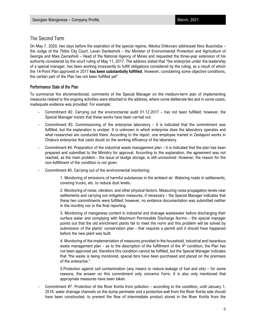### The Second Term

On May 7, 2020, two days before the expiration of the special regime, Nikoloz Chikovani addressed Nino Buachidze – the Judge of the Tbilisi City Court, Levan Davitashvili – the Minister of Environmental Protection and Agriculture of Georgia and Maia Zavrashvili – Head of the National Agency of Mines and requested the three-year extension of his authority considered by the court ruling of May 11, 2017. The address stated that "the enterprise under the leadership of a special manager, has been working incessantly to fulfill obligations considered by the ruling, as a result of which the 14-Point Plan approved in 2017 **has been substantially fulfilled.** However, considering some objective conditions, the certain part of the Plan has not been fulfilled yet".

#### Performance State of the Plan

To summarize the aforementioned, comments of the Special Manager on the medium-term plan of implementing measures related to the ongoing activities were attached to the address, where some deliberate lies and in some cases, inadequate evidence was provided. For example:

- − Commitment #2. Carrying out the environmental audit 01.12.2017 has not been fulfilled; however, the Special Manager insists that these works have been carried out.
- − Commitment #3. Commissioning of the enterprise laboratory it is indicated that the commitment was fulfilled, but the explanation is unclear. It is unknown in which enterprise does the laboratory operates and what researches are conducted there. According to the report, one employee trained in Zestaponi works in Chiatura enterprise that casts doubt on the working efficiency of the laboratory.
- − Commitment #4. Preparation of the industrial waste management plan it is indicated that the plan has been prepared and submitted to the Ministry for approval. According to the explanation, the agreement was not reached, as the main problem - the issue of sludge storage, is still unresolved. However, the reason for the non-fulfillment of the condition is not given.
- Commitment #5. Carrying out of the environmental monitoring:

1. Monitoring of emissions of harmful substances in the ambient air. Watering roads in settlements, covering trucks, etc. to reduce dust levels.

2. Monitoring of noise, vibration, and other physical factors. Measuring noise propagation levels near settlements and carrying out mitigation measures, if necessary – the Special Manager indicates that these two commitments were fulfilled; however, no evidence documentation was submitted neither in the monthly nor in the final reporting.

3. Monitoring of manganese content in industrial and drainage wastewater before discharging their surface water and complying with Maximum Permissible Discharge Norms – the special manager points out that the old enrichment plants fail to meet the norm and this problem will be solved by submission of the plants' conservation plan - that requires a permit and it should have happened before the new plant was built.

4. Monitoring of the implementation of measures provided in the household, industrial and hazardous waste management plan – as to the description of the fulfillment of the  $4<sup>th</sup>$  condition, the Plan has not been approved yet, therefore this condition cannot be fulfilled, but the Special Manager indicates that "the waste is being monitored, special bins have been purchased and placed on the premises of the enterprise."

5.Protection against soil contamination (any means to reduce leakage of fuel and oils) – for some reasons, the answer on this commitment only concerns Ferro. It is also only mentioned that appropriate measures have been taken.

− Commitment #7. Protection of the River Kvirila from pollution – according to the condition, until January 1, 2018, water drainage channels on the dump perimeter and a protective wall from the River Kvirila side should have been constructed, to prevent the flow of intermediate product stored in the River Kvirila from the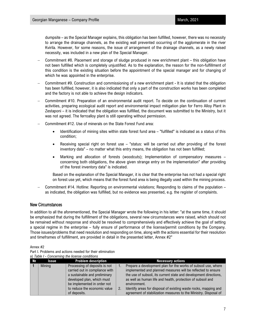dumpsite – as the Special Manager explains, this obligation has been fulfilled, however, there was no necessity to arrange the drainage channels, as the existing wall prevented occurring of the agglomerate in the river Kvirila. However, for some reasons, the issue of arrangement of the drainage channels, as a newly raised necessity, was included in a new plan of the Special Manager.

- − Commitment #8. Placement and storage of sludge produced in new enrichment plant this obligation have not been fulfilled which is completely unjustified. As to the explanation, the reason for the non-fulfillment of this condition is the existing situation before the appointment of the special manager and for changing of which he was appointed in the enterprise.
- − Commitment #9. Construction and commissioning of a new enrichment plant It is stated that the obligation has been fulfilled, however, it is also indicated that only a part of the construction works has been completed and the factory is not able to achieve the design indicators.
- − Commitment #10. Preparation of an environmental audit report. To decide on the continuation of current activities, preparing ecological audit report and environmental impact mitigation plan for Ferro Alloy Plant in Zestaponi – it is indicated that the obligation was fulfilled, the document was submitted to the Ministry, but it was not agreed. The ferroalloy plant is still operating without permission.
- − Commitment #12. Use of minerals on the State Forest Fund area:
	- Identification of mining sites within state forest fund area "fulfilled" is indicated as a status of this condition;
	- Receiving special right on forest use "status: will be carried out after providing of the forest inventory data" – no matter what this entry means, the obligation has not been fulfilled;
	- Marking and allocation of forests (woodcuts); Implementation of compensatory measures concerning both obligations, the above given strange entry on the implementation" after providing of the forest inventory data" is indicated.

Based on the explanation of the Special Manager, it is clear that the enterprise has not had a special right on forest use yet, which means that the forest fund area is being illegally used within the mining process.

− Commitment #14. Hotline: Reporting on environmental violations; Responding to claims of the population – as indicated, the obligation was fulfilled, but no evidence was presented, e.g. the register of complaints.

#### New Circumstances

In addition to all the aforementioned, the Special Manager wrote the following in his letter: "at the same time, it should be emphasized that during the fulfillment of the obligations, several new circumstances were raised, which should not be remained without response and should be resolved to comprehensively and effectively achieve the goal of setting a special regime in the enterprise – fully ensure of performance of the license/permit conditions by the Company. Those issues/problems that need resolution and responding on time, along with the actions essential for their resolution and timeframes of fulfillment, are provided in detail in the presented letter, Annex #2"

Annex #2

| Part I. Problems and actions needed for their elimination |  |
|-----------------------------------------------------------|--|
| a) Table I - Concerning the license conditions            |  |

| N <sub>2</sub> | <b>Issue</b> | <b>Problem description</b>                                                                                                                                                                                    |    | <b>Necessary actions</b>                                                                                                                                                                                                                                                                                                                                                                                                   |
|----------------|--------------|---------------------------------------------------------------------------------------------------------------------------------------------------------------------------------------------------------------|----|----------------------------------------------------------------------------------------------------------------------------------------------------------------------------------------------------------------------------------------------------------------------------------------------------------------------------------------------------------------------------------------------------------------------------|
|                | Mining       | Processing of deposits is not<br>carried out in compliance with<br>a sustainable and preliminary<br>developed plan, which must<br>be implemented in order not<br>to reduce the economic value<br>of deposits. | 2. | Prepare a development plan for the works of subsoil use, where<br>implemented and planned measures will be reflected to ensure<br>the use of subsoil, its current state and development directions,<br>as well as human life and health, protection of subsoil and<br>environment.<br>Identify areas for disposal of existing waste rocks, mapping and<br>agreement of stabilization measures to the Ministry. Disposal of |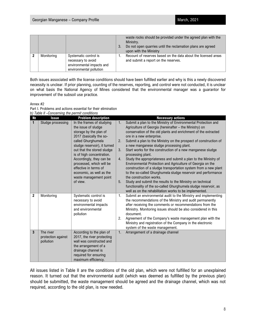|            |                                                                                                     | 3. | waste rocks should be provided under the agreed plan with the<br>Ministry.<br>Do not open quarries until the reclamation plans are agreed<br>upon with the Ministry |
|------------|-----------------------------------------------------------------------------------------------------|----|---------------------------------------------------------------------------------------------------------------------------------------------------------------------|
| Monitoring | Systematic control is<br>necessary to avoid<br>environmental impacts and<br>environmental pollution |    | Recount of reserves based on the data about the licensed areas<br>and submit a report on the reserves.                                                              |

Both issues associated with the license conditions should have been fulfilled earlier and why is this a newly discovered necessity is unclear. If prior planning, counting of the reserves, reporting, and control were not conducted, it is unclear on what basis the National Agency of Mines considered that the environmental manager was a guarantor for improvement of the subsoil use practice.

Annex #2

Part I. Problems and actions essential for their elimination *b) Table II –Concerning the permit conditions* 

| No             | <b>Issue</b>                                 | <b>Problem description</b>                                                                                                                                 |    | <b>Necessary actions</b>                                                                                                                                                                                                                                 |
|----------------|----------------------------------------------|------------------------------------------------------------------------------------------------------------------------------------------------------------|----|----------------------------------------------------------------------------------------------------------------------------------------------------------------------------------------------------------------------------------------------------------|
| $\mathbf{1}$   | Sludge processing                            | In the frames of studying<br>the issue of sludge<br>storage by the plan of                                                                                 | 1. | Submit a plan to the Ministry of Environmental Protection and<br>Agriculture of Georgia (hereinafter - the Ministry) on<br>conservation of the old plants and enrichment of the extracted                                                                |
|                |                                              | 2017 (basically the so-                                                                                                                                    |    | ore in a new enterprise.                                                                                                                                                                                                                                 |
|                |                                              | called Ghurghumela<br>sludge reservoir), it turned                                                                                                         | 2. | Submit a plan to the Ministry on the prospect of construction of<br>a new manganese sludge processing plant.                                                                                                                                             |
|                |                                              | out that the stored sludge<br>is of high concentration.                                                                                                    | 3. | Start works for the construction of a new manganese sludge<br>processing plant.                                                                                                                                                                          |
|                |                                              | Accordingly, they can be<br>processed, which will be                                                                                                       | 4. | Study the appropriateness and submit a plan to the Ministry of<br>Environmental Protection and Agriculture of Georgia on the                                                                                                                             |
|                |                                              | effective in terms of<br>economic, as well as the                                                                                                          |    | construction of a sludge transportation system from a new plant<br>to the so-called Ghurghumela sludge reservoir and performance                                                                                                                         |
|                |                                              | waste management point                                                                                                                                     |    | the construction works.                                                                                                                                                                                                                                  |
|                |                                              | of view.                                                                                                                                                   | 5. | Study and submit the results to the Ministry on technical                                                                                                                                                                                                |
|                |                                              |                                                                                                                                                            |    | functionality of the so-called Ghurghumela sludge reservoir, as<br>well as on the rehabilitation works to be implemented.                                                                                                                                |
| $\overline{2}$ | Monitoring                                   | Systematic control is<br>necessary to avoid<br>environmental impacts<br>and environmental                                                                  | 1. | Submit an environmental audit to the Ministry and implementing<br>the recommendations of the Ministry and audit permanently<br>after receiving the comments or recommendations from the<br>Ministry. Monitoring issues should be also considered in this |
|                |                                              | pollution                                                                                                                                                  |    | document.                                                                                                                                                                                                                                                |
|                |                                              |                                                                                                                                                            | 2. | Agreement of the Company's waste management plan with the                                                                                                                                                                                                |
|                |                                              |                                                                                                                                                            |    | Ministry and registration of the Company in the electronic<br>system of the waste management.                                                                                                                                                            |
| 3              | The river<br>protection against<br>pollution | According to the plan of<br>2017, the river protecting<br>wall was constructed and<br>the arrangement of a<br>drainage channel is<br>required for ensuring | 1. | Arrangement of a drainage channel                                                                                                                                                                                                                        |
|                |                                              | maximum efficiency.                                                                                                                                        |    |                                                                                                                                                                                                                                                          |

All issues listed in Table II are the conditions of the old plan, which were not fulfilled for an unexplained reason. It turned out that the environmental audit (which was deemed as fulfilled by the previous plan) should be submitted, the waste management should be agreed and the drainage channel, which was not required, according to the old plan, is now needed.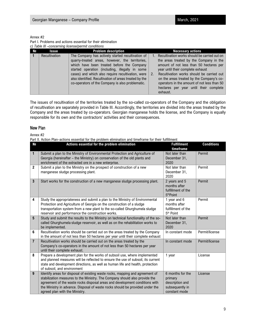#### Annex #2

Part I. Problems and actions essential for their elimination *c) Table III –concerning license/permit conditions* 

|    | o, rabio in concerning nochscriptinii, conditions |                                                                                                                                                                                                                                                                                                                                                                          |                                                                                                                                                                                                                                                                                                                                                                        |  |  |  |  |  |  |
|----|---------------------------------------------------|--------------------------------------------------------------------------------------------------------------------------------------------------------------------------------------------------------------------------------------------------------------------------------------------------------------------------------------------------------------------------|------------------------------------------------------------------------------------------------------------------------------------------------------------------------------------------------------------------------------------------------------------------------------------------------------------------------------------------------------------------------|--|--|--|--|--|--|
| N∘ | <b>Issue</b>                                      | <b>Problem description</b>                                                                                                                                                                                                                                                                                                                                               | <b>Necessary actions</b>                                                                                                                                                                                                                                                                                                                                               |  |  |  |  |  |  |
|    | Recultivation                                     | The Company has actively started recultivation of<br>quarry-treated areas, however, the territories,<br>which have been treated before the Company<br>started operation (including, illegally in some<br>cases) and which also require recultivation, were<br>also identified. Recultivation of areas treated by the<br>co-operators of the Company is also problematic. | Recultivation works should be carried out on<br>the areas treated by the Company in the<br>amount of not less than 50 hectares per<br>year until their complete exhaust<br>Recultivation works should be carried out<br>on the areas treated by the Company's co-<br>operators in the amount of not less than 50<br>hectares per year until their complete<br>exhaust. |  |  |  |  |  |  |

The issues of recultivation of the territories treated by the so-called co-operators of the Company and the obligation of recultivation are separately provided in Table III. Accordingly, the territories are divided into the areas treated by the Company and the areas treated by co-operators. Georgian manganese holds the license, and the Company is equally responsible for its own and the contractors' activities and their consequences.

#### New Plan

Annex #2

Part II. Action Plan–actions essential for the problem elimination and timeframe for their fulfillment

| N <sub>o</sub> | Actions essential for the problem elimination                                                                                                         | <b>Fulfillment</b>                          | <b>Conditions</b> |
|----------------|-------------------------------------------------------------------------------------------------------------------------------------------------------|---------------------------------------------|-------------------|
|                |                                                                                                                                                       | timeframe                                   |                   |
| $\mathbf{1}$   | Submit a plan to the Ministry of Environmental Protection and Agriculture of                                                                          | Not later than                              | Permit            |
|                | Georgia (hereinafter - the Ministry) on conservation of the old plants and                                                                            | December 31,                                |                   |
|                | enrichment of the extracted ore in a new enterprise.                                                                                                  | 2020                                        |                   |
| $\mathbf{2}$   | Submit a plan to the Ministry on the prospect of construction of a new                                                                                | Not later than                              | Permit            |
|                | manganese sludge processing plant.                                                                                                                    | December 31,                                |                   |
|                |                                                                                                                                                       | 2020                                        |                   |
| $\mathbf{3}$   | Start works for the construction of a new manganese sludge processing plant.                                                                          | 2 years and 5                               | Permit            |
|                |                                                                                                                                                       | months after                                |                   |
|                |                                                                                                                                                       | fulfillment of the<br>5 <sup>th</sup> Point |                   |
| 4              |                                                                                                                                                       |                                             | Permit            |
|                | Study the appropriateness and submit a plan to the Ministry of Environmental<br>Protection and Agriculture of Georgia on the construction of a sludge | 1 year and 6<br>months after                |                   |
|                | transportation system from a new plant to the so-called Ghurghumela sludge                                                                            | fulfillment of the                          |                   |
|                | reservoir and performance the construction works.                                                                                                     | 5 <sup>th</sup> Point                       |                   |
| 5              | Study and submit the results to the Ministry on technical functionality of the so-                                                                    | Not later than                              | Permit            |
|                | called Ghurghumela sludge reservoir, as well as on the rehabilitation works to                                                                        | December 31,                                |                   |
|                | be implemented.                                                                                                                                       | 2020                                        |                   |
| 6              | Recultivation works should be carried out on the areas treated by the Company                                                                         | In constant mode                            | Permit/license    |
|                | in the amount of not less than 50 hectares per year until their complete exhaust                                                                      |                                             |                   |
| $\overline{7}$ | Recultivation works should be carried out on the areas treated by the                                                                                 | In constant mode                            | Permit/license    |
|                | Company's co-operators in the amount of not less than 50 hectares per year                                                                            |                                             |                   |
|                | until their complete exhaust.                                                                                                                         |                                             |                   |
| 8              | Prepare a development plan for the works of subsoil use, where implemented                                                                            | 1 year                                      | License           |
|                | and planned measures will be reflected to ensure the use of subsoil, its current                                                                      |                                             |                   |
|                | state and development directions, as well as human life and health, protection                                                                        |                                             |                   |
|                | of subsoil, and environment                                                                                                                           |                                             |                   |
| 9              | Identify areas for disposal of existing waste rocks, mapping and agreement of                                                                         | 6 months for the                            | License           |
|                | stabilization measures to the Ministry. The Company should also provide the                                                                           | primary                                     |                   |
|                | agreement of the waste rocks disposal areas and development conditions with                                                                           | description and                             |                   |
|                | the Ministry in advance. Disposal of waste rocks should be provided under the                                                                         | subsequently in                             |                   |
|                | agreed plan with the Ministry.                                                                                                                        | constant mode                               |                   |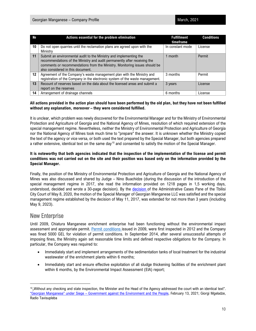| N₫               | Actions essential for the problem elimination                                                                                                                                                                                                                      | <b>Fulfillment</b><br>timeframe | <b>Conditions</b> |
|------------------|--------------------------------------------------------------------------------------------------------------------------------------------------------------------------------------------------------------------------------------------------------------------|---------------------------------|-------------------|
| 10               | Do not open quarries until the reclamation plans are agreed upon with the<br>Ministry                                                                                                                                                                              | In constant mode                | License           |
| 11               | Submit an environmental audit to the Ministry and implementing the<br>recommendations of the Ministry and audit permanently after receiving the<br>comments or recommendations from the Ministry. Monitoring issues should be<br>also considered in this document. | 1 month                         | Permit            |
| 12 <sup>12</sup> | Agreement of the Company's waste management plan with the Ministry and<br>registration of the Company in the electronic system of the waste management.                                                                                                            | 3 months                        | Permit            |
| 13               | Recount of reserves based on the data about the licensed areas and submit a<br>report on the reserves                                                                                                                                                              | 3 years                         | License           |
| 14               | Arrangement of drainage channels                                                                                                                                                                                                                                   | 6 months                        | License           |

#### **All actions provided in the action plan should have been performed by the old plan, but they have not been fulfilled without any explanation, moreover – they were considered fulfilled.**

It is unclear, which problem was newly discovered for the Environmental Manager and for the Ministry of Environmental Protection and Agriculture of Georgia and the National Agency of Mines, resolution of which required extension of the special management regime. Nevertheless, neither the Ministry of Environmental Protection and Agriculture of Georgia nor the National Agency of Mines took much time to "prepare" the answer. It is unknown whether the Ministry copied the text of the agency or vice versa, or both used the text prepared by the Special Manager, but both agencies prepared a rather extensive, identical text on the same day<sup>[10](#page-10-0)</sup> and consented to satisfy the motion of the Special Manager.

#### **It is noteworthy that both agencies indicated that the inspection of the implementation of the license and permit conditions was not carried out on the site and their position was based only on the information provided by the Special Manager.**

Finally, the position of the Ministry of Environmental Protection and Agriculture of Georgia and the National Agency of Mines was also discussed and shared by Judge – Nino Buachidze (during the discussion of the introduction of the special management regime in 2017, she read the information provided on 1218 pages in 1,5 working days, understood, decided and wrote a 30-page decision). By the [decision](https://bs.napr.gov.ge/GetBlob?pid=400&bid=Qdemt4YoIpLQYpryd3AbD9ZIcyXRVrCIkPKcFlu9ENKxtJZDblUkfokEo5wn8pS4) of the Administrative Cases Pane of the Tbilisi City Court of May 8, 2020, the motion of the Special Manager of Georgian Manganese LLC was satisfied and the special management regime established by the decision of May 11, 2017, was extended for not more than 3 years (including May 9, 2023).

# New Enterprise

Until 2009, Chiatura Manganese enrichment enterprise had been functioning without the environmental impact assessment and appropriate permit. [Permit](http://maps.eiec.gov.ge/Home/ShowDocument/494) conditions issued in 2009, were first inspected in 2012 and the Company was fined 5000 GEL for violation of permit conditions. In September 2014, after several unsuccessful attempts of imposing fines, the Ministry again set reasonable time limits and defined respective obligations for the Company. In particular, the Company was required to:

- Immediately start and implement arrangements of the sedimentation tanks of local treatment for the industrial wastewater of the enrichment plants within 6 months;
- Immediately start and ensure effective exploitation of all sludge thickening facilities of the enrichment plant within 6 months, by the Environmental Impact Assessment (EIA) report;

<span id="page-10-0"></span> $10<sub>n</sub>$  Without any checking and state inspection, the Minister and the Head of the Agency addressed the court with an identical text". ["Georgian Manganese" under Siege – Government against the Environment and the People,](https://www.radiotavisupleba.ge/a/%E1%83%AF%E1%83%9D%E1%83%A0%E1%83%AF%E1%83%98%E1%83%90%E1%83%9C-%E1%83%9B%E1%83%90%E1%83%9C%E1%83%92%E1%83%90%E1%83%9C%E1%83%94%E1%83%96%E1%83%98-%E1%83%90%E1%83%9A%E1%83%A7%E1%83%90%E1%83%A8%E1%83%98-%E1%83%AE%E1%83%94%E1%83%9A%E1%83%98%E1%83%A1%E1%83%A3%E1%83%A4%E1%83%9A%E1%83%94%E1%83%91%E1%83%90-%E1%83%92%E1%83%90%E1%83%A0%E1%83%94%E1%83%9B%E1%83%9D%E1%83%A1%E1%83%90-%E1%83%93%E1%83%90-%E1%83%AE%E1%83%90%E1%83%9A%E1%83%AE%E1%83%98%E1%83%A1-%E1%83%AC%E1%83%98%E1%83%9C%E1%83%90%E1%83%90%E1%83%A6%E1%83%9B%E1%83%93%E1%83%94%E1%83%92/31100119.html) February 13, 2021; Giorgi Mgeladze, Radio Tavisupleba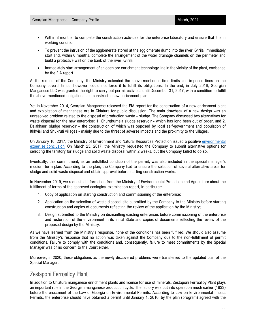- Within 3 months, to complete the construction activities for the enterprise laboratory and ensure that it is in working condition;
- To prevent the intrusion of the agglomerate stored at the agglomerate dump into the river Kvirila, immediately start and, within 6 months, complete the arrangement of the water drainage channels on the perimeter and build a protective wall on the bank of the river Kvirila;
- Immediately start arrangement of an open ore enrichment technology line in the vicinity of the plant, envisaged by the EIA report.

At the request of the Company, the Ministry extended the above-mentioned time limits and imposed fines on the Company several times, however, could not force it to fulfill its obligations. In the end, in July 2016, Georgian Manganese LLC was granted the right to carry out permit activities until December 31, 2017, with a condition to fulfill the above-mentioned obligations and construct a new enrichment plant.

Yet in November 2014, Georgian Manganese released the EIA report for the construction of a new enrichment plant and exploitation of manganese ore in Chiatura for public discussion. The main drawback of a new design was an unresolved problem related to the disposal of production waste – sludge. The Company discussed two alternatives for waste disposal for the new enterprise: 1. Ghurghumela sludge reservoir - which has long been out of order, and 2. Dalakhauri sludge reservoir – the construction of which was opposed by local self-government and population of Itkhvisi and Shukruti villages - mainly due to the threat of adverse impacts and the proximity to the villages.

On January 10, 2017, the Ministry of Environment and Natural Resources Protection issued a positive [environmental](http://maps.eiec.gov.ge/Home/ShowDocument/1059) expertise [conclusion.](http://maps.eiec.gov.ge/Home/ShowDocument/1059) On March 23, 2017, the Ministry requested the Company to submit alternative options for selecting the territory for sludge and solid waste disposal within 2 weeks, but the Company failed to do so.

Eventually, this commitment, as an unfulfilled condition of the permit, was also included in the special manager's medium-term plan. According to the plan, the Company had to ensure the selection of several alternative areas for sludge and solid waste disposal and obtain approval before starting construction works.

In November 2019, we requested information from the Ministry of Environmental Protection and Agriculture about the fulfillment of terms of the approved ecological examination report, in particular:

- 1. Copy of application on starting construction and commissioning of the enterprise;
- 2. Application on the selection of waste disposal site submitted by the Company to the Ministry before starting construction and copies of documents reflecting the review of the application by the Ministry;
- 3. Design submitted to the Ministry on dismantling existing enterprises before commissioning of the enterprise and restoration of the environment in its initial State and copies of documents reflecting the review of the proposed design by the Ministry.

As we have learned from the Ministry's response, none of the conditions has been fulfilled. We should also assume from the Ministry's response that no action was taken against the Company due to the non-fulfillment of permit conditions. Failure to comply with the conditions and, consequently, failure to meet commitments by the Special Manager was of no concern to the Court either.

Moreover, in 2020, these obligations as the newly discovered problems were transferred to the updated plan of the Special Manager.

# Zestaponi Ferroalloy Plant

In addition to Chiatura manganese enrichment plants and license for use of minerals, Zestaponi Ferroalloy Plant plays an important role in the Georgian manganese production cycle. The factory was put into operation much earlier (1933) before the enactment of the Law of Georgia on Environmental Permits. According to Law on Environmental Impact Permits, the enterprise should have obtained a permit until January 1, 2010, by the plan (program) agreed with the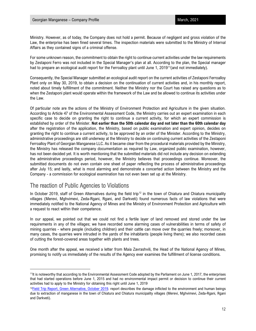Ministry. However, as of today, the Company does not hold a permit. Because of negligent and gross violation of the Law, the enterprise has been fined several times. The inspection materials were submitted to the Ministry of Internal Affairs as they contained signs of a criminal offense.

For some unknown reason, the commitment to obtain the right to continue current activities under the law requirements by Zestaponi Ferro was not included in the Special Manager's plan at all. According to the plan, the Special manager had to prepare an ecological audit report for the Ferroalloy plant until June 1, 2019<sup>[11](#page-12-0)</sup>(and not immediately).

Consequently, the Special Manager submitted an ecological audit report on the current activities of Zestaponi Ferroalloy Plant only on May 30, 2019, to obtain a decision on the continuation of current activities and, in his monthly report, noted about timely fulfillment of the commitment. Neither the Ministry nor the Court has raised any questions as to when the Zestaponi plant would operate within the framework of the Law and be allowed to continue its activities under the Law.

Of particular note are the actions of the Ministry of Environment Protection and Agriculture in the given situation. According to Article 47 of the Environmental Assessment Code, the Ministry carries out an expert examination in each specific case to decide on granting the right to continue a current activity, for which an expert commission is established by order of the Minister. **Not earlier than the 50th calendar day and not later than the 60th calendar day** after the registration of the application, the Ministry, based on public examination and expert opinion, decides on granting the right to continue a current activity, to be approved by an order of the Minister. According to the Ministry, administrative proceedings are still underway at the Ministry to decide on continuing current activities of the Zestaponi Ferroalloy Plant of Georgian Manganese LLC. As it became clear from the procedural materials provided by the Ministry, the Ministry has released the company documentation as required by Law, organized public examination, however, has not been decided yet. It is worth mentioning that the submitted materials did not include any decision on extending the administrative proceedings period, however, the Ministry believes that proceedings continue. Moreover, the submitted documents do not even contain one sheet of paper reflecting the process of administrative proceedings after July 15; and lastly, what is most alarming and demonstrate a concerted action between the Ministry and the Company - a commission for ecological examination has not even been set up at the Ministry.

# The reaction of Public Agencies to Violations

In October 2019, staff of Green Alternatives during the field trip<sup>[12](#page-12-1)</sup> in the town of Chiatura and Chiatura municipality villages (Merevi, Mghvimevi, Zeda-Rgani, Rgani, and Darkveti) found numerous facts of law violations that were immediately notified to the National Agency of Mines and the Ministry of Environment Protection and Agriculture with a request to react within their competence.

In our appeal, we pointed out that we could not find a fertile layer of land removed and stored under the law requirements in any of the villages; we have recorded some alarming cases of vulnerabilities in terms of safety of mining quarries - where people (including children) and their cattle can move over the quarries freely; moreover, in many cases, the quarries were intruded in the yards of the inhabitants (people living there); we also recorded cases of cutting the forest-covered areas together with plants and trees.

One month after the appeal, we received a letter from Maia Zavrashvili, the Head of the National Agency of Mines, promising to notify us immediately of the results of the Agency ever examines the fulfillment of license conditions.

<span id="page-12-0"></span><sup>&</sup>lt;sup>11</sup>It is noteworthy that according to the Environmental Assessment Code adopted by the Parliament on June 1, 2017, the enterprises that had started operations before June 1, 2015 and had no environmental impact permit or decision to continue their current activities had to apply to the Ministry for obtaining this right until June 1, 2019

<span id="page-12-1"></span> $12$ Field Trip Report, Green Alternative, October 2019. report describes the damage inflicted to the environment and human beings due to extraction of manganese in the town of Chiatura and Chiatura municipality villages (Merevi, Mghvimevi, Zeda-Rgani, Rgani and Darkveti).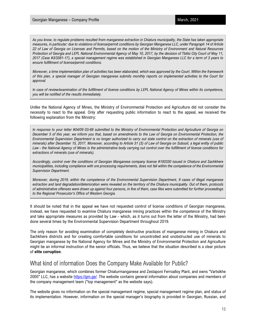*As you know, to regulate problems resulted from manganese extraction in Chiatura municipality, the State has taken appropriate measures, in particular: due to violations of license/permit conditions by Georgian Manganese LLC, under Paragraph 14 of Article 22 of Law of Georgia on Licenses and Permits, based on the motion of the Ministry of Environment and Natural Resources Protection of Georgia and LEPL National Environmental Agency of May 10, 2017, by the decision of Tbilisi City Court of May 11, 2017 (Case #3/3381-17), a special management regime was established in Georgian Manganese LLC for a term of 3 years to ensure fulfillment of license/permit conditions.*

*Moreover, a time implementation plan of activities has been elaborated, which was approved by the Court. Within the framework of this plan, a special manager of Georgian manganese submits monthly reports on implemented activities to the Court for approval.*

*In case of review/examination of the fulfillment of license conditions by LEPL National Agency of Mines within its competence, you will be notified of the results immediately.*

Unlike the National Agency of Mines, the Ministry of Environmental Protection and Agriculture did not consider the necessity to react to the appeal. Only after requesting public information to react to the appeal, we received the following explanation from the Ministry:

*In response to your letter #04/09 03-69 submitted to the Ministry of Environmental Protection and Agriculture of Georgia on December 5 of this year, we inform you that, based on amendments to the Law of Georgia on Environmental Protection, the Environmental Supervision Department is no longer authorized to carry out state control on the extraction of minerals (use of minerals) after December 15, 2017. Moreover, according to Article 31 (3) of Law of Georgia on Subsoil, a legal entity of public Law - the National Agency of Mines is the administrative body carrying out control over the fulfillment of license conditions for extractions of minerals (use of minerals).*

*Accordingly, control over the conditions of Georgian Manganese company license #100330 issued in Chiatura and Sachkhere municipalities, including compliance with ore processing requirements, does not fall within the competence of the Environmental Supervision Department.*

*Moreover, during 2019, within the competence of the Environmental Supervision Department, 9 cases of illegal manganese extraction and land degradation/deterioration were revealed on the territory of the Chiatura municipality. Out of them, protocols of administrative offenses were drawn up against four persons, in five of them, case files were submitted for further proceedings to the Regional Prosecutor's Office of Western Georgia.*

It should be noted that in the appeal we have not requested control of license conditions of Georgian manganese, instead, we have requested to examine Chiatura manganese mining practices within the competence of the Ministry and take appropriate measures as provided by Law - which, as it turns out from the letter of the Ministry, had been done several times by the Environmental Supervision Department throughout 2019.

The only reason for avoiding examination of completely destructive practices of manganese mining in Chiatura and Sachkhere districts and for creating comfortable conditions for uncontrolled and unobstructed use of minerals to Georgian manganese by the National Agency for Mines and the Ministry of Environmental Protection and Agriculture might be an informal instruction of the senior officials. Thus, we believe that the situation described is a clear picture of **elite corruption**.

# What kind of information Does the Company Make Available for Public?

Georgian manganese, which combines former Chiaturmanganese and Zestaponi Ferroalloy Plant, and owns "Vartsikhe 2005" LLC, has a website [https://gm.ge/.](https://gm.ge/) The website contains general information about companies and members of the company management team ("top management" as the website says).

The website gives no information on the special management regime, special management regime plan, and status of its implementation. However, information on the special manager's biography is provided in Georgian, Russian, and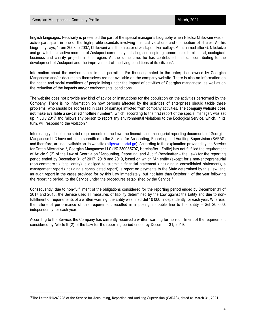English languages. Peculiarly is presented the part of the special manager's biography when Nikoloz Chikovani was an active participant in one of the high-profile scandals involving financial violations and distribution of shares. As his biography says, "from 2003 to 2007, Chikovani was the director of Zestaponi Ferroalloys Plant named after G. Nikoladze and grew to be an active member of Zestaponi community, initiating and inspiring numerous cultural, social, ecological, business and charity projects in the region. At the same time, he has contributed and still contributing to the development of Zestaponi and the improvement of the living conditions of its citizens".

Information about the environmental impact permit and/or license granted to the enterprises owned by Georgian Manganese and/or documents themselves are not available on the company website. There is also no information on the health and social conditions of people living under the impact of activities of Georgian manganese, as well as on the reduction of the impacts and/or environmental conditions.

The website does not provide any kind of advice or instructions for the population on the activities performed by the Company. There is no information on how persons affected by the activities of enterprises should tackle these problems, who should be addressed in case of damage inflicted from company activities. **The company website does not make available a so-called "hotline number",** which, according to the first report of the special manager, was set up in July 2017 and "allows any person to report any environmental violations to the Ecological Service, which, in its turn, will respond to the violation ".

Interestingly, despite the strict requirements of the Law, the financial and managerial reporting documents of Georgian Manganese LLC have not been submitted to the Service for Accounting, Reporting and Auditing Supervision (SARAS) and therefore, are not available on its website [\(https://reportal.ge\)](https://reportal.ge/). According to the explanation provided by the Service for Green Alternative[13](#page-14-0), Georgian Manganese LLC (I/C 230085797, Hereinafter - Entity) has not fulfilled the requirement of Article 9 (2) of the Law of Georgia on "Accounting, Reporting, and Audit" (hereinafter – the Law) for the reporting period ended by December 31 of 2017, 2018 and 2019, based on which "An entity (except for a non-entrepreneurial (non-commercial) legal entity) is obliged to submit a financial statement (including a consolidated statement), a management report (including a consolidated report), a report on payments to the State determined by this Law, and an audit report in the cases provided for by this Law immediately, but not later than October 1 of the year following the reporting period, to the Service under the procedures established by the Service."

Consequently, due to non-fulfillment of the obligations considered for the reporting period ended by December 31 of 2017 and 2018, the Service used all measures of liability determined by the Law against the Entity and due to nonfulfillment of requirements of a written warning, the Entity was fined Gel 10 000, independently for each year. Whereas, the failure of performance of this requirement resulted in imposing a double fine to the Entity – Gel 20 000, independently for each year.

According to the Service, the Company has currently received a written warning for non-fulfillment of the requirement considered by Article 9 (2) of the Law for the reporting period ended by December 31, 2019.

<span id="page-14-0"></span><sup>13</sup>The Letter N16/40228 of the Service for Accounting, Reporting and Auditing Supervision (SARAS), dated as March 31, 2021.